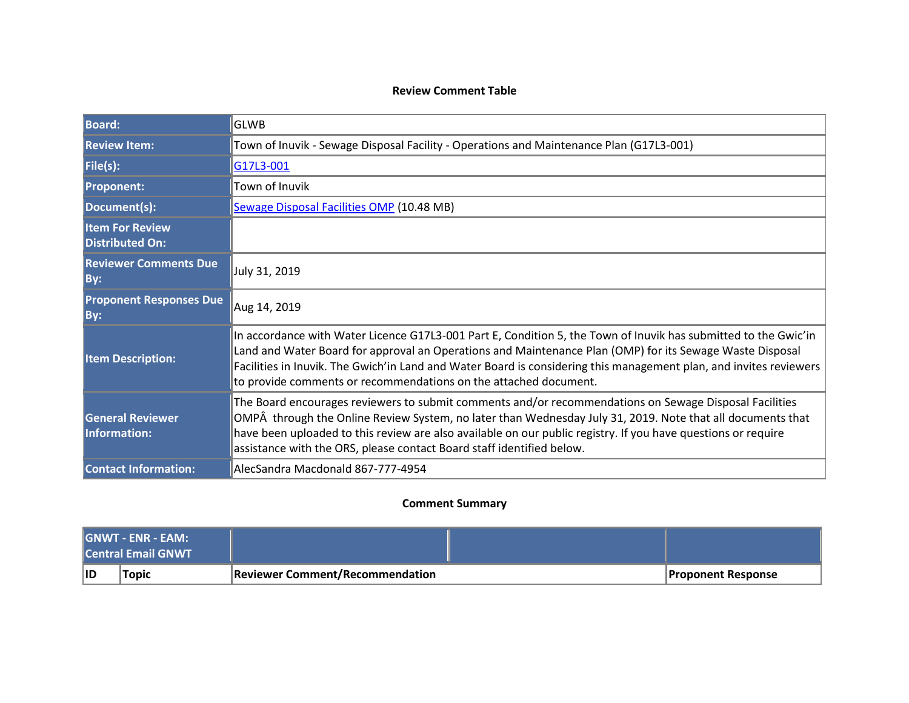## **Review Comment Table**

| <b>Board:</b>                                    | <b>GLWB</b>                                                                                                                                                                                                                                                                                                                                                                                                           |  |  |
|--------------------------------------------------|-----------------------------------------------------------------------------------------------------------------------------------------------------------------------------------------------------------------------------------------------------------------------------------------------------------------------------------------------------------------------------------------------------------------------|--|--|
| <b>Review Item:</b>                              | Town of Inuvik - Sewage Disposal Facility - Operations and Maintenance Plan (G17L3-001)                                                                                                                                                                                                                                                                                                                               |  |  |
| File(s):                                         | G17L3-001                                                                                                                                                                                                                                                                                                                                                                                                             |  |  |
| <b>Proponent:</b>                                | Town of Inuvik                                                                                                                                                                                                                                                                                                                                                                                                        |  |  |
| Document(s):                                     | <b>Sewage Disposal Facilities OMP (10.48 MB)</b>                                                                                                                                                                                                                                                                                                                                                                      |  |  |
| <b>Item For Review</b><br><b>Distributed On:</b> |                                                                                                                                                                                                                                                                                                                                                                                                                       |  |  |
| <b>Reviewer Comments Due</b><br>By:              | July 31, 2019                                                                                                                                                                                                                                                                                                                                                                                                         |  |  |
| <b>Proponent Responses Due</b><br>By:            | Aug 14, 2019                                                                                                                                                                                                                                                                                                                                                                                                          |  |  |
| <b>Item Description:</b>                         | In accordance with Water Licence G17L3-001 Part E, Condition 5, the Town of Inuvik has submitted to the Gwic'in<br>Land and Water Board for approval an Operations and Maintenance Plan (OMP) for its Sewage Waste Disposal<br>Facilities in Inuvik. The Gwich'in Land and Water Board is considering this management plan, and invites reviewers<br>to provide comments or recommendations on the attached document. |  |  |
| <b>General Reviewer</b><br><b>Information:</b>   | The Board encourages reviewers to submit comments and/or recommendations on Sewage Disposal Facilities<br>OMPÂ through the Online Review System, no later than Wednesday July 31, 2019. Note that all documents that<br>have been uploaded to this review are also available on our public registry. If you have questions or require<br>assistance with the ORS, please contact Board staff identified below.        |  |  |
| <b>Contact Information:</b>                      | AlecSandra Macdonald 867-777-4954                                                                                                                                                                                                                                                                                                                                                                                     |  |  |

## **Comment Summary**

| l GNWT - ENR - EAM: I<br><b>Central Email GNWT</b> |       |                                        |                           |
|----------------------------------------------------|-------|----------------------------------------|---------------------------|
| ∣ID                                                | Topic | <b>Reviewer Comment/Recommendation</b> | <b>Proponent Response</b> |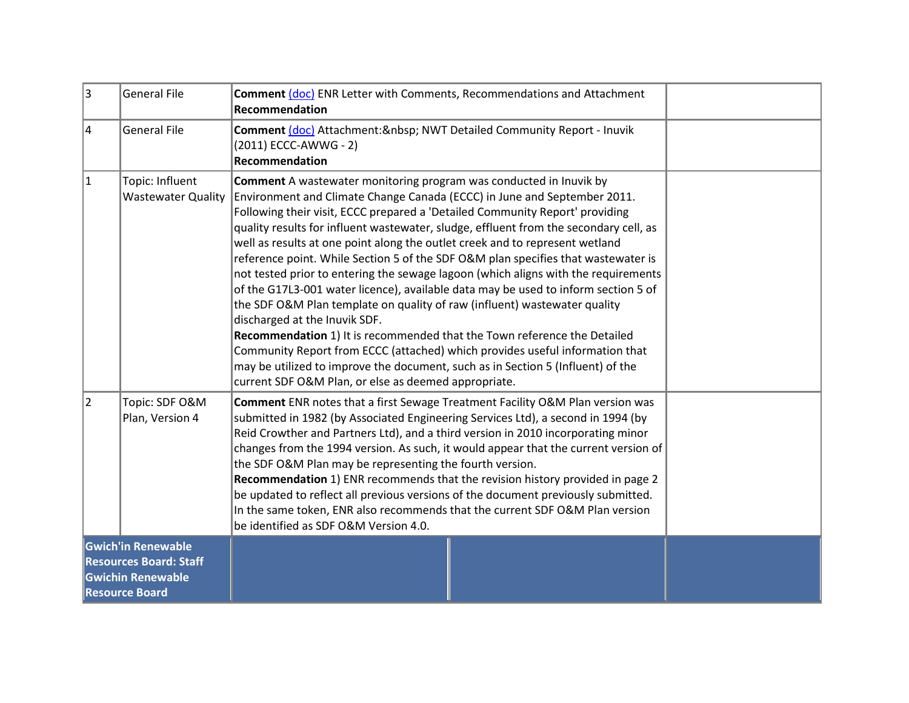| 3                                                                                                               | <b>General File</b>                          | <b>Comment (doc) ENR Letter with Comments, Recommendations and Attachment</b><br><b>Recommendation</b>                                                                                                                                                                                                                                                                                                                                                                                                                                                                                                                                                                                                                                                                                                                                                                                                                                                                                                                                                                                               |  |
|-----------------------------------------------------------------------------------------------------------------|----------------------------------------------|------------------------------------------------------------------------------------------------------------------------------------------------------------------------------------------------------------------------------------------------------------------------------------------------------------------------------------------------------------------------------------------------------------------------------------------------------------------------------------------------------------------------------------------------------------------------------------------------------------------------------------------------------------------------------------------------------------------------------------------------------------------------------------------------------------------------------------------------------------------------------------------------------------------------------------------------------------------------------------------------------------------------------------------------------------------------------------------------------|--|
| 4                                                                                                               | <b>General File</b>                          | Comment (doc) Attachment: & nbsp; NWT Detailed Community Report - Inuvik<br>(2011) ECCC-AWWG - 2)<br>Recommendation                                                                                                                                                                                                                                                                                                                                                                                                                                                                                                                                                                                                                                                                                                                                                                                                                                                                                                                                                                                  |  |
| 1                                                                                                               | Topic: Influent<br><b>Wastewater Quality</b> | <b>Comment</b> A wastewater monitoring program was conducted in Inuvik by<br>Environment and Climate Change Canada (ECCC) in June and September 2011.<br>Following their visit, ECCC prepared a 'Detailed Community Report' providing<br>quality results for influent wastewater, sludge, effluent from the secondary cell, as<br>well as results at one point along the outlet creek and to represent wetland<br>reference point. While Section 5 of the SDF O&M plan specifies that wastewater is<br>not tested prior to entering the sewage lagoon (which aligns with the requirements<br>of the G17L3-001 water licence), available data may be used to inform section 5 of<br>the SDF O&M Plan template on quality of raw (influent) wastewater quality<br>discharged at the Inuvik SDF.<br>Recommendation 1) It is recommended that the Town reference the Detailed<br>Community Report from ECCC (attached) which provides useful information that<br>may be utilized to improve the document, such as in Section 5 (Influent) of the<br>current SDF O&M Plan, or else as deemed appropriate. |  |
| 2                                                                                                               | Topic: SDF O&M<br>Plan, Version 4            | Comment ENR notes that a first Sewage Treatment Facility O&M Plan version was<br>submitted in 1982 (by Associated Engineering Services Ltd), a second in 1994 (by<br>Reid Crowther and Partners Ltd), and a third version in 2010 incorporating minor<br>changes from the 1994 version. As such, it would appear that the current version of<br>the SDF O&M Plan may be representing the fourth version.<br>Recommendation 1) ENR recommends that the revision history provided in page 2<br>be updated to reflect all previous versions of the document previously submitted.<br>In the same token, ENR also recommends that the current SDF O&M Plan version<br>be identified as SDF O&M Version 4.0.                                                                                                                                                                                                                                                                                                                                                                                              |  |
| <b>Gwich'in Renewable</b><br><b>Resources Board: Staff</b><br><b>Gwichin Renewable</b><br><b>Resource Board</b> |                                              |                                                                                                                                                                                                                                                                                                                                                                                                                                                                                                                                                                                                                                                                                                                                                                                                                                                                                                                                                                                                                                                                                                      |  |